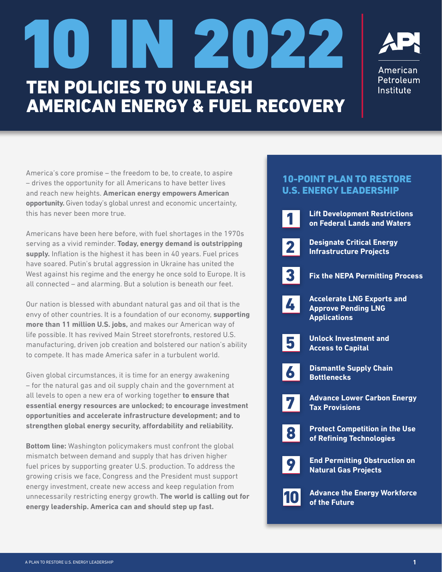# TEN POLICIES TO UNLEASH AMERICAN ENERGY & FUEL RECOVERY 10 IN 2022



America's core promise – the freedom to be, to create, to aspire – drives the opportunity for all Americans to have better lives and reach new heights. **American energy empowers American opportunity.** Given today's global unrest and economic uncertainty, this has never been more true.

Americans have been here before, with fuel shortages in the 1970s serving as a vivid reminder. **Today, energy demand is outstripping supply.** Inflation is the highest it has been in 40 years. Fuel prices have soared. Putin's brutal aggression in Ukraine has united the West against his regime and the energy he once sold to Europe. It is all connected – and alarming. But a solution is beneath our feet.

Our nation is blessed with abundant natural gas and oil that is the envy of other countries. It is a foundation of our economy, **supporting more than 11 million U.S. jobs,** and makes our American way of life possible. It has revived Main Street storefronts, restored U.S. manufacturing, driven job creation and bolstered our nation's ability to compete. It has made America safer in a turbulent world.

Given global circumstances, it is time for an energy awakening – for the natural gas and oil supply chain and the government at all levels to open a new era of working together **to ensure that essential energy resources are unlocked; to encourage investment opportunities and accelerate infrastructure development; and to strengthen global energy security, affordability and reliability.**

**Bottom line:** Washington policymakers must confront the global mismatch between demand and supply that has driven higher fuel prices by supporting greater U.S. production. To address the growing crisis we face, Congress and the President must support energy investment, create new access and keep regulation from unnecessarily restricting energy growth. **The world is calling out for energy leadership. America can and should step up fast.**

# 10-POINT PLAN TO RESTORE U.S. ENERGY LEADERSHIP

|             | <b>Lift Development Restrictions</b><br>on Federal Lands and Waters                    |
|-------------|----------------------------------------------------------------------------------------|
| $\mathbf 2$ | <b>Designate Critical Energy</b><br><b>Infrastructure Projects</b>                     |
| 3           | <b>Fix the NEPA Permitting Process</b>                                                 |
| 4           | <b>Accelerate LNG Exports and</b><br><b>Approve Pending LNG</b><br><b>Applications</b> |
| 5           | <b>Unlock Investment and</b><br><b>Access to Capital</b>                               |
| 6           | <b>Dismantle Supply Chain</b><br><b>Bottlenecks</b>                                    |
| 7           | <b>Advance Lower Carbon Energy</b><br><b>Tax Provisions</b>                            |
| 8           | <b>Protect Competition in the Use</b><br>of Refining Technologies                      |
| 9           | <b>End Permitting Obstruction on</b><br><b>Natural Gas Projects</b>                    |
|             | <b>Advance the Energy Workforce</b><br>of the Future                                   |